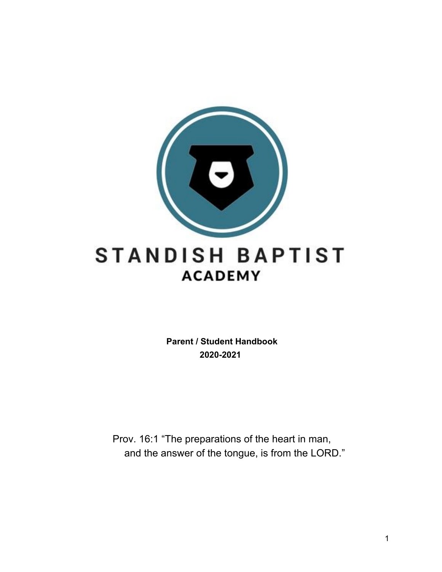

 **Parent / Student Handbook 2020-2021**

Prov. 16:1 "The preparations of the heart in man, and the answer of the tongue, is from the LORD."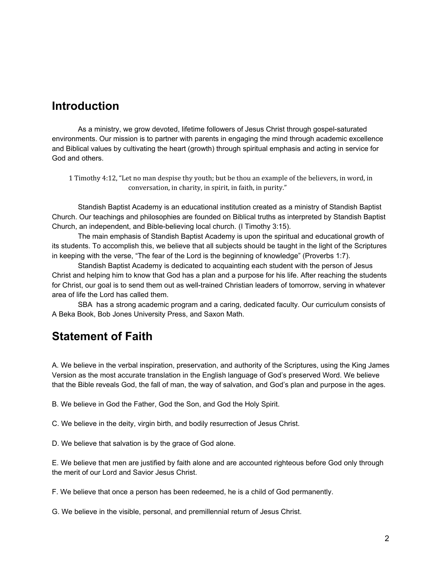### **Introduction**

As a ministry, we grow devoted, lifetime followers of Jesus Christ through gospel-saturated environments. Our mission is to partner with parents in engaging the mind through academic excellence and Biblical values by cultivating the heart (growth) through spiritual emphasis and acting in service for God and others.

1 Timothy 4:12, "Let no man despise thy youth; but be thou an example of the believers, in word, in conversation, in charity, in spirit, in faith, in purity."

Standish Baptist Academy is an educational institution created as a ministry of Standish Baptist Church. Our teachings and philosophies are founded on Biblical truths as interpreted by Standish Baptist Church, an independent, and Bible-believing local church. (I Timothy 3:15).

The main emphasis of Standish Baptist Academy is upon the spiritual and educational growth of its students. To accomplish this, we believe that all subjects should be taught in the light of the Scriptures in keeping with the verse, "The fear of the Lord is the beginning of knowledge" (Proverbs 1:7).

Standish Baptist Academy is dedicated to acquainting each student with the person of Jesus Christ and helping him to know that God has a plan and a purpose for his life. After reaching the students for Christ, our goal is to send them out as well-trained Christian leaders of tomorrow, serving in whatever area of life the Lord has called them.

SBA has a strong academic program and a caring, dedicated faculty. Our curriculum consists of A Beka Book, Bob Jones University Press, and Saxon Math.

## **Statement of Faith**

A. We believe in the verbal inspiration, preservation, and authority of the Scriptures, using the King James Version as the most accurate translation in the English language of God's preserved Word. We believe that the Bible reveals God, the fall of man, the way of salvation, and God's plan and purpose in the ages.

B. We believe in God the Father, God the Son, and God the Holy Spirit.

C. We believe in the deity, virgin birth, and bodily resurrection of Jesus Christ.

D. We believe that salvation is by the grace of God alone.

E. We believe that men are justified by faith alone and are accounted righteous before God only through the merit of our Lord and Savior Jesus Christ.

F. We believe that once a person has been redeemed, he is a child of God permanently.

G. We believe in the visible, personal, and premillennial return of Jesus Christ.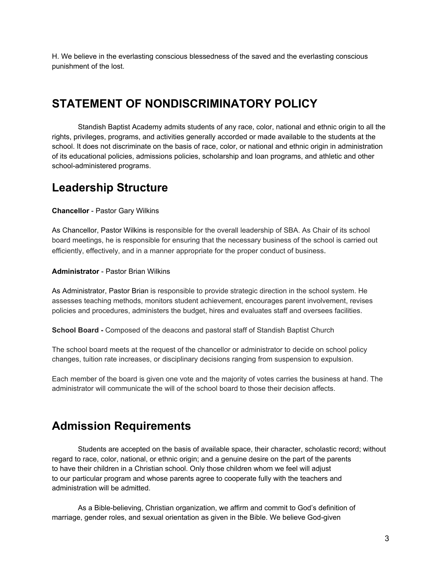H. We believe in the everlasting conscious blessedness of the saved and the everlasting conscious punishment of the lost.

## **STATEMENT OF NONDISCRIMINATORY POLICY**

Standish Baptist Academy admits students of any race, color, national and ethnic origin to all the rights, privileges, programs, and activities generally accorded or made available to the students at the school. It does not discriminate on the basis of race, color, or national and ethnic origin in administration of its educational policies, admissions policies, scholarship and loan programs, and athletic and other school-administered programs.

## **Leadership Structure**

**Chancellor** - Pastor Gary Wilkins

As Chancellor, Pastor Wilkins is responsible for the overall leadership of SBA. As Chair of its school board meetings, he is responsible for ensuring that the necessary business of the school is carried out efficiently, effectively, and in a manner appropriate for the proper conduct of business.

**Administrator** - Pastor Brian Wilkins

As Administrator, Pastor Brian is responsible to provide strategic direction in the school system. He assesses teaching methods, monitors student achievement, encourages parent involvement, revises policies and procedures, administers the budget, hires and evaluates staff and oversees facilities.

**School Board -** Composed of the deacons and pastoral staff of Standish Baptist Church

The school board meets at the request of the chancellor or administrator to decide on school policy changes, tuition rate increases, or disciplinary decisions ranging from suspension to expulsion.

Each member of the board is given one vote and the majority of votes carries the business at hand. The administrator will communicate the will of the school board to those their decision affects.

## **Admission Requirements**

Students are accepted on the basis of available space, their character, scholastic record; without regard to race, color, national, or ethnic origin; and a genuine desire on the part of the parents to have their children in a Christian school. Only those children whom we feel will adjust to our particular program and whose parents agree to cooperate fully with the teachers and administration will be admitted.

As a Bible-believing, Christian organization, we affirm and commit to God's definition of marriage, gender roles, and sexual orientation as given in the Bible. We believe God-given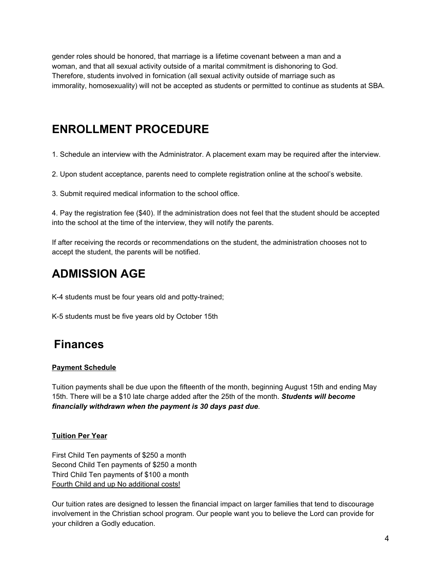gender roles should be honored, that marriage is a lifetime covenant between a man and a woman, and that all sexual activity outside of a marital commitment is dishonoring to God. Therefore, students involved in fornication (all sexual activity outside of marriage such as immorality, homosexuality) will not be accepted as students or permitted to continue as students at SBA.

# **ENROLLMENT PROCEDURE**

1. Schedule an interview with the Administrator. A placement exam may be required after the interview.

2. Upon student acceptance, parents need to complete registration online at the school's website.

3. Submit required medical information to the school office.

4. Pay the registration fee (\$40). If the administration does not feel that the student should be accepted into the school at the time of the interview, they will notify the parents.

If after receiving the records or recommendations on the student, the administration chooses not to accept the student, the parents will be notified.

# **ADMISSION AGE**

K-4 students must be four years old and potty-trained;

K-5 students must be five years old by October 15th

# **Finances**

### **Payment Schedule**

Tuition payments shall be due upon the fifteenth of the month, beginning August 15th and ending May 15th. There will be a \$10 late charge added after the 25th of the month. *Students will become financially withdrawn when the payment is 30 days past due*.

### **Tuition Per Year**

First Child Ten payments of \$250 a month Second Child Ten payments of \$250 a month Third Child Ten payments of \$100 a month Fourth Child and up No additional costs!

Our tuition rates are designed to lessen the financial impact on larger families that tend to discourage involvement in the Christian school program. Our people want you to believe the Lord can provide for your children a Godly education.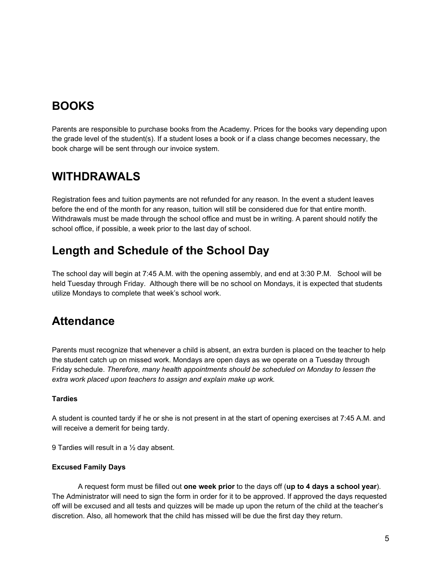# **BOOKS**

Parents are responsible to purchase books from the Academy. Prices for the books vary depending upon the grade level of the student(s). If a student loses a book or if a class change becomes necessary, the book charge will be sent through our invoice system.

## **WITHDRAWALS**

Registration fees and tuition payments are not refunded for any reason. In the event a student leaves before the end of the month for any reason, tuition will still be considered due for that entire month. Withdrawals must be made through the school office and must be in writing. A parent should notify the school office, if possible, a week prior to the last day of school.

# **Length and Schedule of the School Day**

The school day will begin at 7:45 A.M. with the opening assembly, and end at 3:30 P.M. School will be held Tuesday through Friday. Although there will be no school on Mondays, it is expected that students utilize Mondays to complete that week's school work.

# **Attendance**

Parents must recognize that whenever a child is absent, an extra burden is placed on the teacher to help the student catch up on missed work. Mondays are open days as we operate on a Tuesday through Friday schedule. *Therefore, many health appointments should be scheduled on Monday to lessen the extra work placed upon teachers to assign and explain make up work.*

### **Tardies**

A student is counted tardy if he or she is not present in at the start of opening exercises at 7:45 A.M. and will receive a demerit for being tardy.

9 Tardies will result in a ½ day absent.

### **Excused Family Days**

A request form must be filled out **one week prior** to the days off (**up to 4 days a school year**). The Administrator will need to sign the form in order for it to be approved. If approved the days requested off will be excused and all tests and quizzes will be made up upon the return of the child at the teacher's discretion. Also, all homework that the child has missed will be due the first day they return.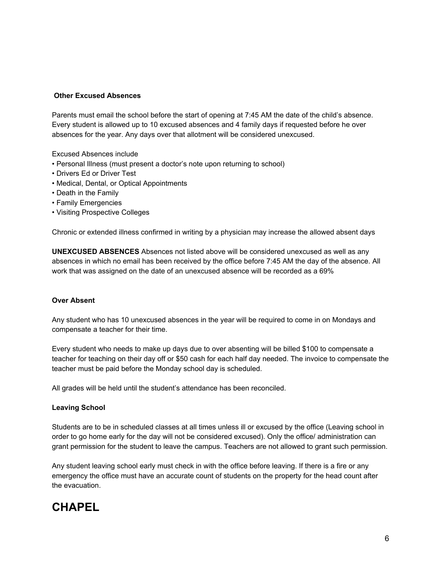### **Other Excused Absences**

Parents must email the school before the start of opening at 7:45 AM the date of the child's absence. Every student is allowed up to 10 excused absences and 4 family days if requested before he over absences for the year. Any days over that allotment will be considered unexcused.

Excused Absences include

- Personal Illness (must present a doctor's note upon returning to school)
- Drivers Ed or Driver Test
- Medical, Dental, or Optical Appointments
- Death in the Family
- Family Emergencies
- Visiting Prospective Colleges

Chronic or extended illness confirmed in writing by a physician may increase the allowed absent days

**UNEXCUSED ABSENCES** Absences not listed above will be considered unexcused as well as any absences in which no email has been received by the office before 7:45 AM the day of the absence. All work that was assigned on the date of an unexcused absence will be recorded as a 69%

### **Over Absent**

Any student who has 10 unexcused absences in the year will be required to come in on Mondays and compensate a teacher for their time.

Every student who needs to make up days due to over absenting will be billed \$100 to compensate a teacher for teaching on their day off or \$50 cash for each half day needed. The invoice to compensate the teacher must be paid before the Monday school day is scheduled.

All grades will be held until the student's attendance has been reconciled.

### **Leaving School**

Students are to be in scheduled classes at all times unless ill or excused by the office (Leaving school in order to go home early for the day will not be considered excused). Only the office/ administration can grant permission for the student to leave the campus. Teachers are not allowed to grant such permission.

Any student leaving school early must check in with the office before leaving. If there is a fire or any emergency the office must have an accurate count of students on the property for the head count after the evacuation.

## **CHAPEL**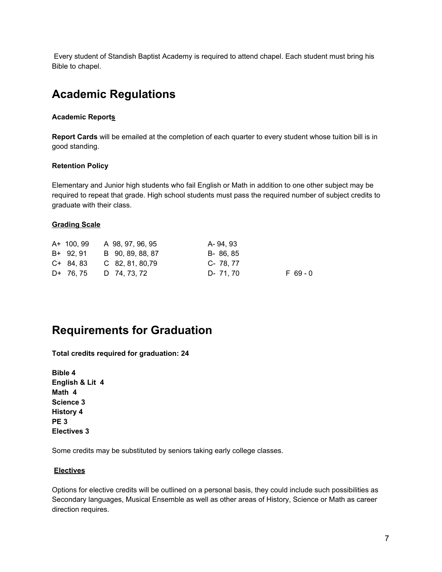Every student of Standish Baptist Academy is required to attend chapel. Each student must bring his Bible to chapel.

# **Academic Regulations**

### **Academic Reports**

**Report Cards** will be emailed at the completion of each quarter to every student whose tuition bill is in good standing.

#### **Retention Policy**

Elementary and Junior high students who fail English or Math in addition to one other subject may be required to repeat that grade. High school students must pass the required number of subject credits to graduate with their class.

### **Grading Scale**

| A+ 100, 99 | A 98, 97, 96, 95   | A- 94.93               |  |
|------------|--------------------|------------------------|--|
| B+ 92.91   | B 90, 89, 88, 87   | B-86,85                |  |
| $C+84.83$  | $C$ 82, 81, 80, 79 | C- 78.77               |  |
| D+ 76.75   | D 74, 73, 72       | $F$ 69 - 0<br>D- 71.70 |  |

## **Requirements for Graduation**

**Total credits required for graduation: 24**

**Bible 4 English & Lit 4 Math 4 Science 3 History 4 PE 3 Electives 3**

Some credits may be substituted by seniors taking early college classes.

### **Electives**

Options for elective credits will be outlined on a personal basis, they could include such possibilities as Secondary languages, Musical Ensemble as well as other areas of History, Science or Math as career direction requires.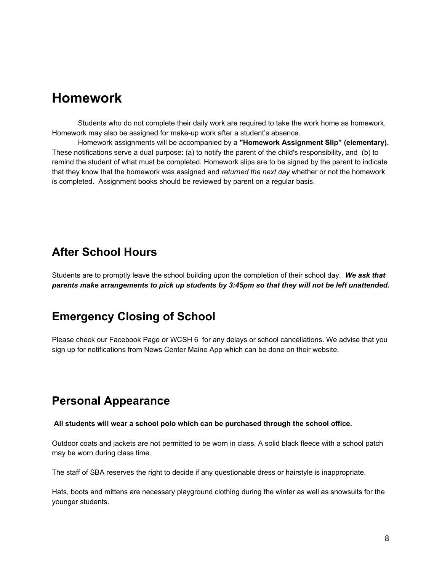# **Homework**

Students who do not complete their daily work are required to take the work home as homework. Homework may also be assigned for make-up work after a student's absence.

Homework assignments will be accompanied by a **"Homework Assignment Slip" (elementary).** These notifications serve a dual purpose: (a) to notify the parent of the child's responsibility, and (b) to remind the student of what must be completed. Homework slips are to be signed by the parent to indicate that they know that the homework was assigned and *returned the next day* whether or not the homework is completed. Assignment books should be reviewed by parent on a regular basis.

### **After School Hours**

Students are to promptly leave the school building upon the completion of their school day. *We ask that parents make arrangements to pick up students by 3:45pm so that they will not be left unattended.*

## **Emergency Closing of School**

Please check our Facebook Page or WCSH 6 for any delays or school cancellations. We advise that you sign up for notifications from News Center Maine App which can be done on their website.

## **Personal Appearance**

#### **All students will wear a school polo which can be purchased through the school office.**

Outdoor coats and jackets are not permitted to be worn in class. A solid black fleece with a school patch may be worn during class time.

The staff of SBA reserves the right to decide if any questionable dress or hairstyle is inappropriate.

Hats, boots and mittens are necessary playground clothing during the winter as well as snowsuits for the younger students.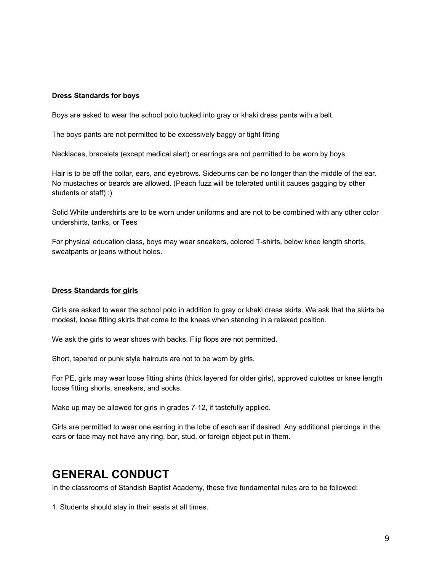#### **Dress Standards for boys**

Boys are asked to wear the school polo tucked into gray or khaki dress pants with a belt.

The boys pants are not permitted to be excessively baggy or tight fitting

Necklaces, bracelets (except medical alert) or earrings are not permitted to be worn by boys.

Hair is to be off the collar, ears, and eyebrows. Sideburns can be no longer than the middle of the ear. No mustaches or beards are allowed. (Peach fuzz will be tolerated until it causes gagging by other students or staff) :)

Solid White undershirts are to be worn under uniforms and are not to be combined with any other color undershirts, tanks, or Tees

For physical education class, boys may wear sneakers, colored T-shirts, below knee length shorts, sweatpants or jeans without holes.

#### **Dress Standards for girls**

Girls are asked to wear the school polo in addition to gray or khaki dress skirts. We ask that the skirts be modest, loose fitting skirts that come to the knees when standing in a relaxed position.

We ask the girls to wear shoes with backs. Flip flops are not permitted.

Short, tapered or punk style haircuts are not to be worn by girls.

For PE, girls may wear loose fitting shirts (thick layered for older girls), approved culottes or knee length loose fitting shorts, sneakers, and socks.

Make up may be allowed for girls in grades 7-12, if tastefully applied.

Girls are permitted to wear one earring in the lobe of each ear if desired. Any additional piercings in the ears or face may not have any ring, bar, stud, or foreign object put in them.

## **GENERAL CONDUCT**

In the classrooms of Standish Baptist Academy, these five fundamental rules are to be followed:

1. Students should stay in their seats at all times.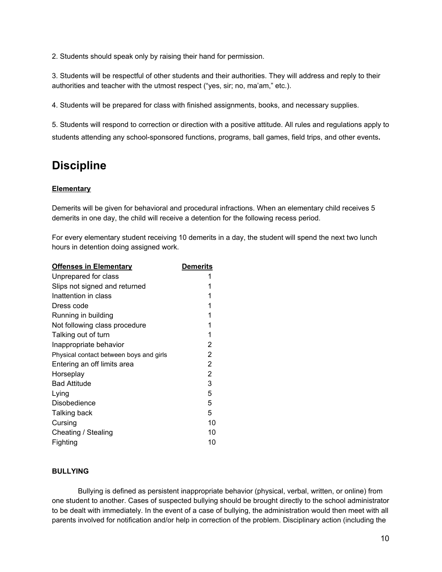2. Students should speak only by raising their hand for permission.

3. Students will be respectful of other students and their authorities. They will address and reply to their authorities and teacher with the utmost respect ("yes, sir; no, ma'am," etc.).

4. Students will be prepared for class with finished assignments, books, and necessary supplies.

5. Students will respond to correction or direction with a positive attitude. All rules and regulations apply to students attending any school-sponsored functions, programs, ball games, field trips, and other events**.**

## **Discipline**

### **Elementary**

Demerits will be given for behavioral and procedural infractions. When an elementary child receives 5 demerits in one day, the child will receive a detention for the following recess period.

For every elementary student receiving 10 demerits in a day, the student will spend the next two lunch hours in detention doing assigned work.

| <b>Offenses in Elementary</b>           | <b>Demerits</b> |
|-----------------------------------------|-----------------|
| Unprepared for class                    |                 |
| Slips not signed and returned           | 1               |
| Inattention in class                    | 1               |
| Dress code                              | 1               |
| Running in building                     | 1               |
| Not following class procedure           | 1               |
| Talking out of turn                     | 1               |
| Inappropriate behavior                  | 2               |
| Physical contact between boys and girls | 2               |
| Entering an off limits area             | 2               |
| Horseplay                               | 2               |
| <b>Bad Attitude</b>                     | 3               |
| Lying                                   | 5               |
| Disobedience                            | 5               |
| Talking back                            | 5               |
| Cursing                                 | 10              |
| Cheating / Stealing                     | 10              |
| Fighting                                | 10              |

### **BULLYING**

Bullying is defined as persistent inappropriate behavior (physical, verbal, written, or online) from one student to another. Cases of suspected bullying should be brought directly to the school administrator to be dealt with immediately. In the event of a case of bullying, the administration would then meet with all parents involved for notification and/or help in correction of the problem. Disciplinary action (including the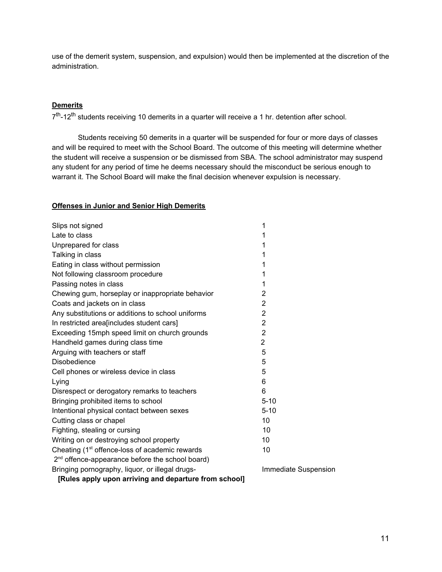use of the demerit system, suspension, and expulsion) would then be implemented at the discretion of the administration.

#### **Demerits**

7<sup>th</sup>-12<sup>th</sup> students receiving 10 demerits in a quarter will receive a 1 hr. detention after school.

Students receiving 50 demerits in a quarter will be suspended for four or more days of classes and will be required to meet with the School Board. The outcome of this meeting will determine whether the student will receive a suspension or be dismissed from SBA. The school administrator may suspend any student for any period of time he deems necessary should the misconduct be serious enough to warrant it. The School Board will make the final decision whenever expulsion is necessary.

#### **Offenses in Junior and Senior High Demerits**

| Slips not signed                                            | 1                    |  |  |  |
|-------------------------------------------------------------|----------------------|--|--|--|
| Late to class                                               | 1                    |  |  |  |
| Unprepared for class                                        | 1                    |  |  |  |
| Talking in class                                            | 1                    |  |  |  |
| Eating in class without permission                          | 1                    |  |  |  |
| Not following classroom procedure                           | 1                    |  |  |  |
| Passing notes in class                                      | 1                    |  |  |  |
| Chewing gum, horseplay or inappropriate behavior            | 2                    |  |  |  |
| Coats and jackets on in class                               | $\overline{2}$       |  |  |  |
| Any substitutions or additions to school uniforms           | $\overline{2}$       |  |  |  |
| In restricted area[includes student cars]                   | $\overline{2}$       |  |  |  |
| Exceeding 15mph speed limit on church grounds               | $\overline{2}$       |  |  |  |
| Handheld games during class time                            | $\overline{2}$       |  |  |  |
| Arguing with teachers or staff                              | 5                    |  |  |  |
| Disobedience                                                | 5                    |  |  |  |
| Cell phones or wireless device in class                     | 5                    |  |  |  |
| Lying                                                       | 6                    |  |  |  |
| Disrespect or derogatory remarks to teachers                | 6                    |  |  |  |
| Bringing prohibited items to school                         | $5 - 10$             |  |  |  |
| Intentional physical contact between sexes                  | $5 - 10$             |  |  |  |
| Cutting class or chapel                                     | 10                   |  |  |  |
| Fighting, stealing or cursing                               | 10                   |  |  |  |
| Writing on or destroying school property                    | 10                   |  |  |  |
| Cheating (1 <sup>st</sup> offence-loss of academic rewards  | 10                   |  |  |  |
| 2 <sup>nd</sup> offence-appearance before the school board) |                      |  |  |  |
| Bringing pornography, liquor, or illegal drugs-             | Immediate Suspension |  |  |  |
| [Rules apply upon arriving and departure from school]       |                      |  |  |  |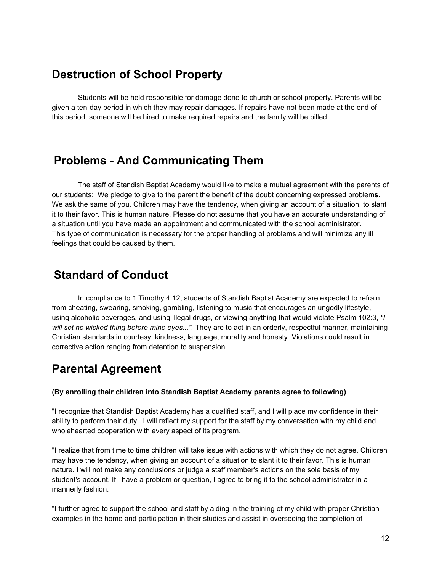## **Destruction of School Property**

Students will be held responsible for damage done to church or school property. Parents will be given a ten-day period in which they may repair damages. If repairs have not been made at the end of this period, someone will be hired to make required repairs and the family will be billed.

### **Problems - And Communicating Them**

The staff of Standish Baptist Academy would like to make a mutual agreement with the parents of our students: We pledge to give to the parent the benefit of the doubt concerning expressed problem**s.** We ask the same of you. Children may have the tendency, when giving an account of a situation, to slant it to their favor. This is human nature. Please do not assume that you have an accurate understanding of a situation until you have made an appointment and communicated with the school administrator. This type of communication is necessary for the proper handling of problems and will minimize any ill feelings that could be caused by them.

## **Standard of Conduct**

In compliance to 1 Timothy 4:12, students of Standish Baptist Academy are expected to refrain from cheating, swearing, smoking, gambling, listening to music that encourages an ungodly lifestyle, using alcoholic beverages, and using illegal drugs, or viewing anything that would violate Psalm 102:3, *"I will set no wicked thing before mine eyes...".* They are to act in an orderly, respectful manner, maintaining Christian standards in courtesy, kindness, language, morality and honesty. Violations could result in corrective action ranging from detention to suspension

# **Parental Agreement**

### **(By enrolling their children into Standish Baptist Academy parents agree to following)**

"I recognize that Standish Baptist Academy has a qualified staff, and I will place my confidence in their ability to perform their duty. I will reflect my support for the staff by my conversation with my child and wholehearted cooperation with every aspect of its program.

"I realize that from time to time children will take issue with actions with which they do not agree. Children may have the tendency, when giving an account of a situation to slant it to their favor. This is human nature. I will not make any conclusions or judge a staff member's actions on the sole basis of my student's account. If I have a problem or question, I agree to bring it to the school administrator in a mannerly fashion.

"I further agree to support the school and staff by aiding in the training of my child with proper Christian examples in the home and participation in their studies and assist in overseeing the completion of